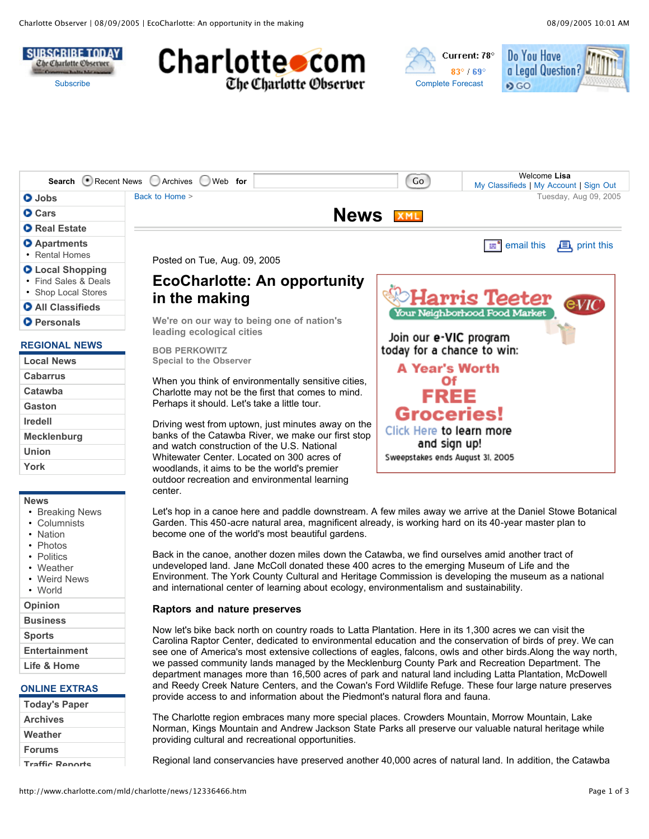







|                                                                        | Search Recent News Archives Web for                                                       | Go                                                   | Welcome Lisa<br>My Classifieds   My Account   Sign Out |  |  |
|------------------------------------------------------------------------|-------------------------------------------------------------------------------------------|------------------------------------------------------|--------------------------------------------------------|--|--|
| O Jobs                                                                 | Back to Home >                                                                            |                                                      | Tuesday, Aug 09, 2005                                  |  |  |
| <b>O</b> Cars                                                          | <b>News XML</b>                                                                           |                                                      |                                                        |  |  |
| <b>O</b> Real Estate                                                   |                                                                                           |                                                      |                                                        |  |  |
| <b>O</b> Apartments<br>• Rental Homes                                  | Posted on Tue, Aug. 09, 2005                                                              |                                                      | email this<br>$\mathbf{E}$ , print this<br>an "        |  |  |
| <b>O</b> Local Shopping<br>• Find Sales & Deals<br>• Shop Local Stores | <b>EcoCharlotte: An opportunity</b><br>in the making                                      |                                                      | <b>Harris Teeter</b>                                   |  |  |
| <b>O</b> All Classifieds                                               |                                                                                           |                                                      | eVIC                                                   |  |  |
| <b>O</b> Personals                                                     | We're on our way to being one of nation's                                                 | Your Neighborhood Food Market                        |                                                        |  |  |
| <b>REGIONAL NEWS</b>                                                   | leading ecological cities<br><b>BOB PERKOWITZ</b>                                         | Join our e-VIC program<br>today for a chance to win: |                                                        |  |  |
| <b>Local News</b>                                                      | <b>Special to the Observer</b>                                                            | <b>A Year's Worth</b>                                |                                                        |  |  |
| <b>Cabarrus</b>                                                        | When you think of environmentally sensitive cities,                                       | Οf                                                   |                                                        |  |  |
| Catawba                                                                | Charlotte may not be the first that comes to mind.                                        | FREE                                                 |                                                        |  |  |
| <b>Gaston</b>                                                          | Perhaps it should. Let's take a little tour.                                              |                                                      |                                                        |  |  |
| <b>Iredell</b>                                                         | Driving west from uptown, just minutes away on the                                        | <b>Groceries!</b>                                    |                                                        |  |  |
| <b>Mecklenburg</b>                                                     | banks of the Catawba River, we make our first stop                                        | Click Here to learn more                             |                                                        |  |  |
| <b>Union</b>                                                           | and watch construction of the U.S. National<br>Whitewater Center. Located on 300 acres of | and sign up!<br>Sweepstakes ends August 31, 2005     |                                                        |  |  |
| York                                                                   | woodlands, it aims to be the world's premier                                              |                                                      |                                                        |  |  |
|                                                                        | outdoor recreation and environmental learning                                             |                                                      |                                                        |  |  |

#### **News**

- Breaking News
- Columnists
- Nation
- Photos
- Politics
- Weather
- Weird News
- World
- **Opinion**
- **Business**
- **Sports**
- **Entertainment**

```
Life & Home
```
#### **ONLINE EXTRAS**

| <b>Today's Paper</b>   |  |  |
|------------------------|--|--|
| <b>Archives</b>        |  |  |
| Weather                |  |  |
| <b>Forums</b>          |  |  |
| <b>Traffic Donorte</b> |  |  |

Let's hop in a canoe here and paddle downstream. A few miles away we arrive at the Daniel Stowe Botanical Garden. This 450-acre natural area, magnificent already, is working hard on its 40-year master plan to become one of the world's most beautiful gardens.

Back in the canoe, another dozen miles down the Catawba, we find ourselves amid another tract of undeveloped land. Jane McColl donated these 400 acres to the emerging Museum of Life and the Environment. The York County Cultural and Heritage Commission is developing the museum as a national and international center of learning about ecology, environmentalism and sustainability.

#### **Raptors and nature preserves**

center.

Now let's bike back north on country roads to Latta Plantation. Here in its 1,300 acres we can visit the Carolina Raptor Center, dedicated to environmental education and the conservation of birds of prey. We can see one of America's most extensive collections of eagles, falcons, owls and other birds.Along the way north, we passed community lands managed by the Mecklenburg County Park and Recreation Department. The department manages more than 16,500 acres of park and natural land including Latta Plantation, McDowell and Reedy Creek Nature Centers, and the Cowan's Ford Wildlife Refuge. These four large nature preserves provide access to and information about the Piedmont's natural flora and fauna.

The Charlotte region embraces many more special places. Crowders Mountain, Morrow Mountain, Lake Norman, Kings Mountain and Andrew Jackson State Parks all preserve our valuable natural heritage while providing cultural and recreational opportunities.

Regional land conservancies have preserved another 40,000 acres of natural land. In addition, the Catawba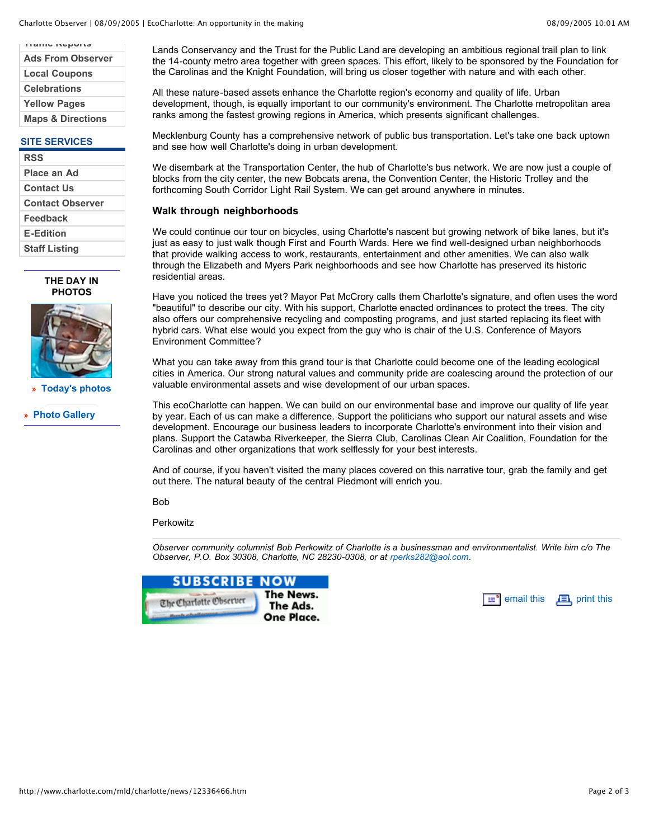| <b>HAIR ROAD AIR</b>         |
|------------------------------|
| <b>Ads From Observer</b>     |
| <b>Local Coupons</b>         |
| <b>Celebrations</b>          |
| <b>Yellow Pages</b>          |
| <b>Maps &amp; Directions</b> |

## **SITE SERVICES**

| <b>RSS</b>              |
|-------------------------|
| Place an Ad             |
| <b>Contact Us</b>       |
| <b>Contact Observer</b> |
| Feedback                |
| <b>E-Edition</b>        |
| <b>Staff Listing</b>    |

#### **THE DAY IN PHOTOS**



**» Today's photos**

**» Photo Gallery**

Lands Conservancy and the Trust for the Public Land are developing an ambitious regional trail plan to link the 14-county metro area together with green spaces. This effort, likely to be sponsored by the Foundation for the Carolinas and the Knight Foundation, will bring us closer together with nature and with each other.

All these nature-based assets enhance the Charlotte region's economy and quality of life. Urban development, though, is equally important to our community's environment. The Charlotte metropolitan area ranks among the fastest growing regions in America, which presents significant challenges.

Mecklenburg County has a comprehensive network of public bus transportation. Let's take one back uptown and see how well Charlotte's doing in urban development.

We disembark at the Transportation Center, the hub of Charlotte's bus network. We are now just a couple of blocks from the city center, the new Bobcats arena, the Convention Center, the Historic Trolley and the forthcoming South Corridor Light Rail System. We can get around anywhere in minutes.

### **Walk through neighborhoods**

We could continue our tour on bicycles, using Charlotte's nascent but growing network of bike lanes, but it's just as easy to just walk though First and Fourth Wards. Here we find well-designed urban neighborhoods that provide walking access to work, restaurants, entertainment and other amenities. We can also walk through the Elizabeth and Myers Park neighborhoods and see how Charlotte has preserved its historic residential areas.

Have you noticed the trees yet? Mayor Pat McCrory calls them Charlotte's signature, and often uses the word "beautiful" to describe our city. With his support, Charlotte enacted ordinances to protect the trees. The city also offers our comprehensive recycling and composting programs, and just started replacing its fleet with hybrid cars. What else would you expect from the guy who is chair of the U.S. Conference of Mayors Environment Committee?

What you can take away from this grand tour is that Charlotte could become one of the leading ecological cities in America. Our strong natural values and community pride are coalescing around the protection of our valuable environmental assets and wise development of our urban spaces.

This ecoCharlotte can happen. We can build on our environmental base and improve our quality of life year by year. Each of us can make a difference. Support the politicians who support our natural assets and wise development. Encourage our business leaders to incorporate Charlotte's environment into their vision and plans. Support the Catawba Riverkeeper, the Sierra Club, Carolinas Clean Air Coalition, Foundation for the Carolinas and other organizations that work selflessly for your best interests.

And of course, if you haven't visited the many places covered on this narrative tour, grab the family and get out there. The natural beauty of the central Piedmont will enrich you.

Bob

**Perkowitz** 

*Observer community columnist Bob Perkowitz of Charlotte is a businessman and environmentalist. Write him c/o The Observer, P.O. Box 30308, Charlotte, NC 28230-0308, or at rperks282@aol.com.*

| <b>SUBSCRIBE NOW</b>   |                       |
|------------------------|-----------------------|
| The Charlotte Observer | The News.<br>The Ads. |
|                        | <b>One Place</b>      |